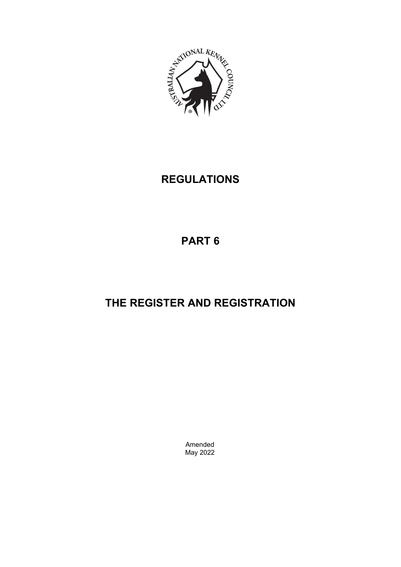

# **REGULATIONS**

# **PART 6**

# **THE REGISTER AND REGISTRATION**

Amended May 2022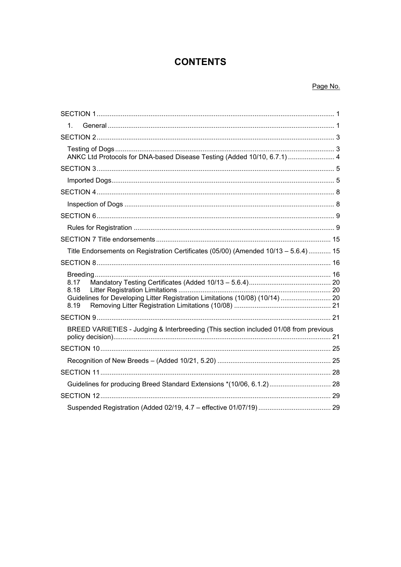# **CONTENTS**

# Page No.

| 1.                                                                                                    |  |
|-------------------------------------------------------------------------------------------------------|--|
|                                                                                                       |  |
| ANKC Ltd Protocols for DNA-based Disease Testing (Added 10/10, 6.7.1)  4                              |  |
|                                                                                                       |  |
|                                                                                                       |  |
|                                                                                                       |  |
|                                                                                                       |  |
|                                                                                                       |  |
|                                                                                                       |  |
|                                                                                                       |  |
| Title Endorsements on Registration Certificates (05/00) (Amended 10/13 - 5.6.4)  15                   |  |
|                                                                                                       |  |
| 8.17<br>8.18<br>Guidelines for Developing Litter Registration Limitations (10/08) (10/14)  20<br>8.19 |  |
|                                                                                                       |  |
| BREED VARIETIES - Judging & Interbreeding (This section included 01/08 from previous                  |  |
|                                                                                                       |  |
|                                                                                                       |  |
|                                                                                                       |  |
|                                                                                                       |  |
|                                                                                                       |  |
|                                                                                                       |  |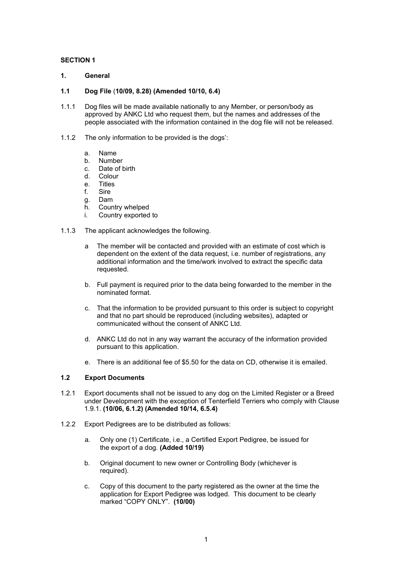# <span id="page-2-0"></span>**SECTION 1**

- <span id="page-2-1"></span>**1. General**
- **1.1 Dog File** (**10/09, 8.28) (Amended 10/10, 6.4)**
- 1.1.1 Dog files will be made available nationally to any Member, or person/body as approved by ANKC Ltd who request them, but the names and addresses of the people associated with the information contained in the dog file will not be released.
- 1.1.2 The only information to be provided is the dogs':
	- a. Name
	- b. Number
	- c. Date of birth
	- d. Colour<br>e Titles
	- **Titles**
	- f. Sire
	- g. Dam
	- h. Country whelped
	- i. Country exported to
- 1.1.3 The applicant acknowledges the following.
	- a The member will be contacted and provided with an estimate of cost which is dependent on the extent of the data request, i.e. number of registrations, any additional information and the time/work involved to extract the specific data requested.
	- b. Full payment is required prior to the data being forwarded to the member in the nominated format.
	- c. That the information to be provided pursuant to this order is subject to copyright and that no part should be reproduced (including websites), adapted or communicated without the consent of ANKC Ltd.
	- d. ANKC Ltd do not in any way warrant the accuracy of the information provided pursuant to this application.
	- e. There is an additional fee of \$5.50 for the data on CD, otherwise it is emailed.

# **1.2 Export Documents**

- 1.2.1 Export documents shall not be issued to any dog on the Limited Register or a Breed under Development with the exception of Tenterfield Terriers who comply with Clause 1.9.1. **(10/06, 6.1.2) (Amended 10/14, 6.5.4)**
- 1.2.2 Export Pedigrees are to be distributed as follows:
	- a. Only one (1) Certificate, i.e., a Certified Export Pedigree, be issued for the export of a dog. **(Added 10/19)**
	- b. Original document to new owner or Controlling Body (whichever is required).
	- c. Copy of this document to the party registered as the owner at the time the application for Export Pedigree was lodged. This document to be clearly marked "COPY ONLY". **(10/00)**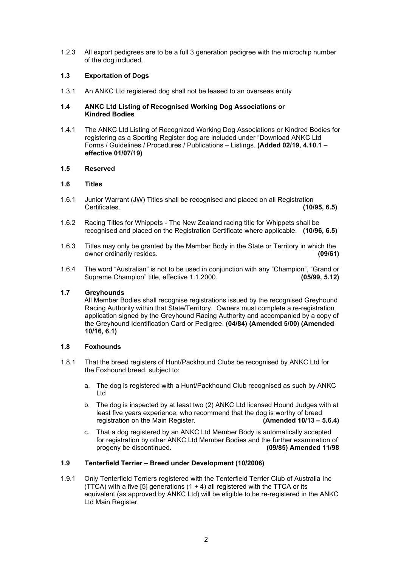1.2.3 All export pedigrees are to be a full 3 generation pedigree with the microchip number of the dog included.

# **1.3 Exportation of Dogs**

1.3.1 An ANKC Ltd registered dog shall not be leased to an overseas entity

#### **1.4 ANKC Ltd Listing of Recognised Working Dog Associations or Kindred Bodies**

1.4.1 The ANKC Ltd Listing of Recognized Working Dog Associations or Kindred Bodies for registering as a Sporting Register dog are included under "Download ANKC Ltd Forms / Guidelines / Procedures / Publications – Listings. **(Added 02/19, 4.10.1 – effective 01/07/19)**

#### **1.5 Reserved**

#### **1.6 Titles**

- 1.6.1 Junior Warrant (JW) Titles shall be recognised and placed on all Registration Certificates. **(10/95, 6.5)**
- 1.6.2 Racing Titles for Whippets The New Zealand racing title for Whippets shall be recognised and placed on the Registration Certificate where applicable. **(10/96, 6.5)**
- 1.6.3 Titles may only be granted by the Member Body in the State or Territory in which the<br>
owner ordinarily resides. owner ordinarily resides.
- 1.6.4 The word "Australian" is not to be used in conjunction with any "Champion", "Grand or<br>Supreme Champion" title, effective 1.1.2000. Supreme Champion" title, effective 1.1.2000.

# **1.7 Greyhounds**

All Member Bodies shall recognise registrations issued by the recognised Greyhound Racing Authority within that State/Territory. Owners must complete a re-registration application signed by the Greyhound Racing Authority and accompanied by a copy of the Greyhound Identification Card or Pedigree. **(04/84) (Amended 5/00) (Amended 10/16, 6.1)**

# **1.8 Foxhounds**

- 1.8.1 That the breed registers of Hunt/Packhound Clubs be recognised by ANKC Ltd for the Foxhound breed, subject to:
	- a. The dog is registered with a Hunt/Packhound Club recognised as such by ANKC Ltd
	- b. The dog is inspected by at least two (2) ANKC Ltd licensed Hound Judges with at least five years experience, who recommend that the dog is worthy of breed registration on the Main Register. **(Amended 10/13 – 5.6.4)**
	- c. That a dog registered by an ANKC Ltd Member Body is automatically accepted for registration by other ANKC Ltd Member Bodies and the further examination of progeny be discontinued. **(09/85) Amended 11/98**

# **1.9 Tenterfield Terrier – Breed under Development (10/2006)**

1.9.1 Only Tenterfield Terriers registered with the Tenterfield Terrier Club of Australia Inc (TTCA) with a five [5] generations  $(1 + 4)$  all registered with the TTCA or its equivalent (as approved by ANKC Ltd) will be eligible to be re-registered in the ANKC Ltd Main Register.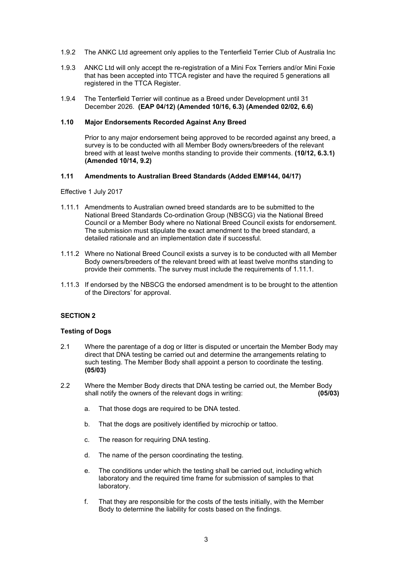- 1.9.2 The ANKC Ltd agreement only applies to the Tenterfield Terrier Club of Australia Inc
- 1.9.3 ANKC Ltd will only accept the re-registration of a Mini Fox Terriers and/or Mini Foxie that has been accepted into TTCA register and have the required 5 generations all registered in the TTCA Register.
- 1.9.4 The Tenterfield Terrier will continue as a Breed under Development until 31 December 2026. **(EAP 04/12) (Amended 10/16, 6.3) (Amended 02/02, 6.6)**

#### **1.10 Major Endorsements Recorded Against Any Breed**

Prior to any major endorsement being approved to be recorded against any breed, a survey is to be conducted with all Member Body owners/breeders of the relevant breed with at least twelve months standing to provide their comments. **(10/12, 6.3.1) (Amended 10/14, 9.2)**

#### **1.11 Amendments to Australian Breed Standards (Added EM#144, 04/17)**

Effective 1 July 2017

- 1.11.1 Amendments to Australian owned breed standards are to be submitted to the National Breed Standards Co-ordination Group (NBSCG) via the National Breed Council or a Member Body where no National Breed Council exists for endorsement. The submission must stipulate the exact amendment to the breed standard, a detailed rationale and an implementation date if successful.
- 1.11.2 Where no National Breed Council exists a survey is to be conducted with all Member Body owners/breeders of the relevant breed with at least twelve months standing to provide their comments. The survey must include the requirements of 1.11.1.
- 1.11.3 If endorsed by the NBSCG the endorsed amendment is to be brought to the attention of the Directors' for approval.

#### <span id="page-4-0"></span>**SECTION 2**

#### <span id="page-4-1"></span>**Testing of Dogs**

- 2.1 Where the parentage of a dog or litter is disputed or uncertain the Member Body may direct that DNA testing be carried out and determine the arrangements relating to such testing. The Member Body shall appoint a person to coordinate the testing. **(05/03)**
- 2.2 Where the Member Body directs that DNA testing be carried out, the Member Body shall notify the owners of the relevant dogs in writing: **(05/03)**
	- a. That those dogs are required to be DNA tested.
	- b. That the dogs are positively identified by microchip or tattoo.
	- c. The reason for requiring DNA testing.
	- d. The name of the person coordinating the testing.
	- e. The conditions under which the testing shall be carried out, including which laboratory and the required time frame for submission of samples to that laboratory.
	- f. That they are responsible for the costs of the tests initially, with the Member Body to determine the liability for costs based on the findings.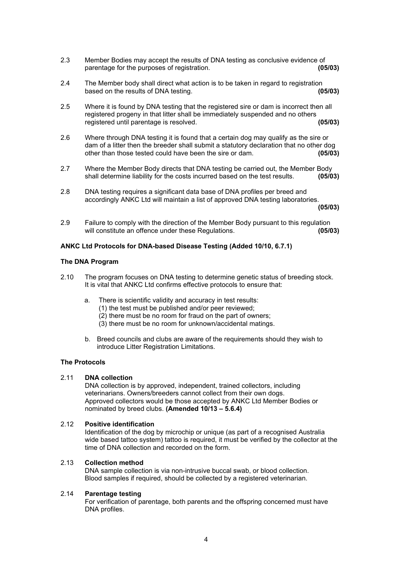- 2.3 Member Bodies may accept the results of DNA testing as conclusive evidence of parentage for the purposes of registration. parentage for the purposes of registration.
- 2.4 The Member body shall direct what action is to be taken in regard to registration<br>based on the results of DNA testing. based on the results of DNA testing.
- 2.5 Where it is found by DNA testing that the registered sire or dam is incorrect then all registered progeny in that litter shall be immediately suspended and no others<br>registered until parentage is resolved. registered until parentage is resolved. **(05/03)**
- 2.6 Where through DNA testing it is found that a certain dog may qualify as the sire or dam of a litter then the breeder shall submit a statutory declaration that no other dog other than those tested could have been the sire or dam. **(05/03)**
- 2.7 Where the Member Body directs that DNA testing be carried out, the Member Body shall determine liability for the costs incurred based on the test results. **(05/03)**
- 2.8 DNA testing requires a significant data base of DNA profiles per breed and accordingly ANKC Ltd will maintain a list of approved DNA testing laboratories.

**(05/03)**

2.9 Failure to comply with the direction of the Member Body pursuant to this regulation will constitute an offence under these Regulations. **(05/03)**

#### <span id="page-5-0"></span>**ANKC Ltd Protocols for DNA-based Disease Testing (Added 10/10, 6.7.1)**

# **The DNA Program**

- 2.10 The program focuses on DNA testing to determine genetic status of breeding stock. It is vital that ANKC Ltd confirms effective protocols to ensure that:
	- a. There is scientific validity and accuracy in test results:
		- (1) the test must be published and/or peer reviewed;
		- $(2)$  there must be no room for fraud on the part of owners;
		- (3) there must be no room for unknown/accidental matings.
	- b. Breed councils and clubs are aware of the requirements should they wish to introduce Litter Registration Limitations.

#### **The Protocols**

#### 2.11 **DNA collection**

DNA collection is by approved, independent, trained collectors, including veterinarians. Owners/breeders cannot collect from their own dogs. Approved collectors would be those accepted by ANKC Ltd Member Bodies or nominated by breed clubs. **(Amended 10/13 – 5.6.4)**

#### 2.12 **Positive identification**

Identification of the dog by microchip or unique (as part of a recognised Australia wide based tattoo system) tattoo is required, it must be verified by the collector at the time of DNA collection and recorded on the form.

# 2.13 **Collection method**

DNA sample collection is via non-intrusive buccal swab, or blood collection. Blood samples if required, should be collected by a registered veterinarian.

# 2.14 **Parentage testing**

For verification of parentage, both parents and the offspring concerned must have DNA profiles.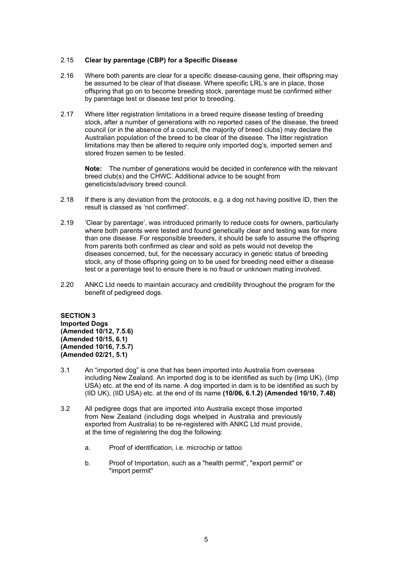#### 2.15 **Clear by parentage (CBP) for a Specific Disease**

- 2.16 Where both parents are clear for a specific disease-causing gene, their offspring may be assumed to be clear of that disease. Where specific LRL's are in place, those offspring that go on to become breeding stock, parentage must be confirmed either by parentage test or disease test prior to breeding.
- 2.17 Where litter registration limitations in a breed require disease testing of breeding stock, after a number of generations with no reported cases of the disease, the breed council (or in the absence of a council, the majority of breed clubs) may declare the Australian population of the breed to be clear of the disease. The litter registration limitations may then be altered to require only imported dog's, imported semen and stored frozen semen to be tested.

**Note:** The number of generations would be decided in conference with the relevant breed club(s) and the CHWC. Additional advice to be sought from geneticists/advisory breed council.

- 2.18 If there is any deviation from the protocols, e.g. a dog not having positive ID, then the result is classed as 'not confirmed'.
- 2.19 'Clear by parentage', was introduced primarily to reduce costs for owners, particularly where both parents were tested and found genetically clear and testing was for more than one disease. For responsible breeders, it should be safe to assume the offspring from parents both confirmed as clear and sold as pets would not develop the diseases concerned, but, for the necessary accuracy in genetic status of breeding stock, any of those offspring going on to be used for breeding need either a disease test or a parentage test to ensure there is no fraud or unknown mating involved.
- 2.20 ANKC Ltd needs to maintain accuracy and credibility throughout the program for the benefit of pedigreed dogs.

<span id="page-6-1"></span><span id="page-6-0"></span>**SECTION 3 Imported Dogs (Amended 10/12, 7.5.6) (Amended 10/15, 6.1) (Amended 10/16, 7.5.7) (Amended 02/21, 5.1)**

- 3.1 An "imported dog" is one that has been imported into Australia from overseas including New Zealand. An imported dog is to be identified as such by (Imp UK), (Imp USA) etc. at the end of its name. A dog imported in dam is to be identified as such by (IID UK), (IID USA) etc. at the end of its name **(10/06, 6.1.2) (Amended 10/10, 7.48)**
- 3.2 All pedigree dogs that are imported into Australia except those imported from New Zealand (including dogs whelped in Australia and previously exported from Australia) to be re-registered with ANKC Ltd must provide, at the time of registering the dog the following:
	- a. Proof of identification, i.e. microchip or tattoo
	- b. Proof of Importation, such as a "health permit", "export permit" or "import permit"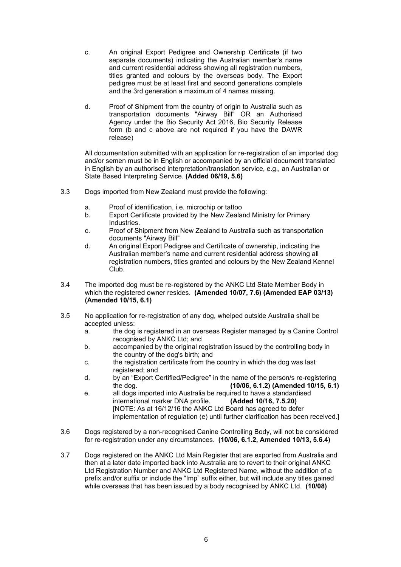- c. An original Export Pedigree and Ownership Certificate (if two separate documents) indicating the Australian member's name and current residential address showing all registration numbers, titles granted and colours by the overseas body. The Export pedigree must be at least first and second generations complete and the 3rd generation a maximum of 4 names missing.
- d. Proof of Shipment from the country of origin to Australia such as transportation documents "Airway Bill" OR an Authorised Agency under the Bio Security Act 2016, Bio Security Release form (b and c above are not required if you have the DAWR release)

All documentation submitted with an application for re-registration of an imported dog and/or semen must be in English or accompanied by an official document translated in English by an authorised interpretation/translation service, e.g., an Australian or State Based Interpreting Service. **(Added 06/19, 5.6)**

- 3.3 Dogs imported from New Zealand must provide the following:
	- a. Proof of identification, i.e. microchip or tattoo
	- b. Export Certificate provided by the New Zealand Ministry for Primary Industries.
	- c. Proof of Shipment from New Zealand to Australia such as transportation documents "Airway Bill"
	- d. An original Export Pedigree and Certificate of ownership, indicating the Australian member's name and current residential address showing all registration numbers, titles granted and colours by the New Zealand Kennel Club.
- 3.4 The imported dog must be re-registered by the ANKC Ltd State Member Body in which the registered owner resides. **(Amended 10/07, 7.6) (Amended EAP 03/13) (Amended 10/15, 6.1)**
- 3.5 No application for re-registration of any dog, whelped outside Australia shall be accepted unless:
	- a. the dog is registered in an overseas Register managed by a Canine Control recognised by ANKC Ltd; and
	- b. accompanied by the original registration issued by the controlling body in the country of the dog's birth; and
	- c. the registration certificate from the country in which the dog was last registered; and
	- d. by an "Export Certified/Pedigree" in the name of the person/s re-registering the dog. **(10/06, 6.1.2) (Amended 10/15, 6.1)**
	- e. all dogs imported into Australia be required to have a standardised<br>international marker DNA profile. (Added 10/16, 7.5.20) international marker DNA profile. [NOTE: As at 16/12/16 the ANKC Ltd Board has agreed to defer implementation of regulation (e) until further clarification has been received.]
- 3.6 Dogs registered by a non-recognised Canine Controlling Body, will not be considered for re-registration under any circumstances. **(10/06, 6.1.2, Amended 10/13, 5.6.4)**
- 3.7 Dogs registered on the ANKC Ltd Main Register that are exported from Australia and then at a later date imported back into Australia are to revert to their original ANKC Ltd Registration Number and ANKC Ltd Registered Name, without the addition of a prefix and/or suffix or include the "Imp" suffix either, but will include any titles gained while overseas that has been issued by a body recognised by ANKC Ltd. **(10/08)**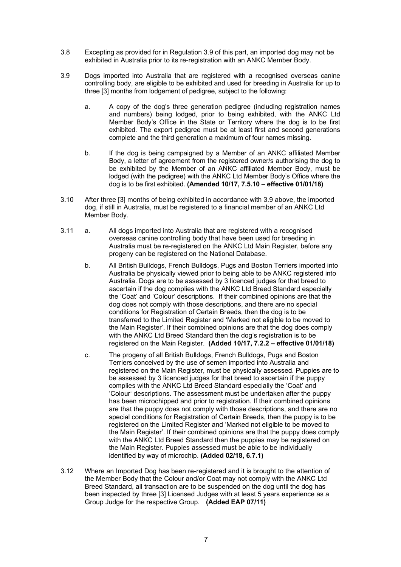- 3.8 Excepting as provided for in Regulation 3.9 of this part, an imported dog may not be exhibited in Australia prior to its re-registration with an ANKC Member Body.
- 3.9 Dogs imported into Australia that are registered with a recognised overseas canine controlling body, are eligible to be exhibited and used for breeding in Australia for up to three [3] months from lodgement of pedigree, subject to the following:
	- a. A copy of the dog's three generation pedigree (including registration names and numbers) being lodged, prior to being exhibited, with the ANKC Ltd Member Body's Office in the State or Territory where the dog is to be first exhibited. The export pedigree must be at least first and second generations complete and the third generation a maximum of four names missing.
	- b. If the dog is being campaigned by a Member of an ANKC affiliated Member Body, a letter of agreement from the registered owner/s authorising the dog to be exhibited by the Member of an ANKC affiliated Member Body, must be lodged (with the pedigree) with the ANKC Ltd Member Body's Office where the dog is to be first exhibited. **(Amended 10/17, 7.5.10 – effective 01/01/18)**
- 3.10 After three [3] months of being exhibited in accordance with 3.9 above, the imported dog, if still in Australia, must be registered to a financial member of an ANKC Ltd Member Body.
- 3.11 a. All dogs imported into Australia that are registered with a recognised overseas canine controlling body that have been used for breeding in Australia must be re-registered on the ANKC Ltd Main Register, before any progeny can be registered on the National Database.
	- b. All British Bulldogs, French Bulldogs, Pugs and Boston Terriers imported into Australia be physically viewed prior to being able to be ANKC registered into Australia. Dogs are to be assessed by 3 licenced judges for that breed to ascertain if the dog complies with the ANKC Ltd Breed Standard especially the 'Coat' and 'Colour' descriptions. If their combined opinions are that the dog does not comply with those descriptions, and there are no special conditions for Registration of Certain Breeds, then the dog is to be transferred to the Limited Register and 'Marked not eligible to be moved to the Main Register'. If their combined opinions are that the dog does comply with the ANKC Ltd Breed Standard then the dog's registration is to be registered on the Main Register. **(Added 10/17, 7.2.2 – effective 01/01/18)**
	- c. The progeny of all British Bulldogs, French Bulldogs, Pugs and Boston Terriers conceived by the use of semen imported into Australia and registered on the Main Register, must be physically assessed. Puppies are to be assessed by 3 licenced judges for that breed to ascertain if the puppy complies with the ANKC Ltd Breed Standard especially the 'Coat' and 'Colour' descriptions. The assessment must be undertaken after the puppy has been microchipped and prior to registration. If their combined opinions are that the puppy does not comply with those descriptions, and there are no special conditions for Registration of Certain Breeds, then the puppy is to be registered on the Limited Register and 'Marked not eligible to be moved to the Main Register'. If their combined opinions are that the puppy does comply with the ANKC Ltd Breed Standard then the puppies may be registered on the Main Register. Puppies assessed must be able to be individually identified by way of microchip. **(Added 02/18, 6.7.1)**
- 3.12 Where an Imported Dog has been re-registered and it is brought to the attention of the Member Body that the Colour and/or Coat may not comply with the ANKC Ltd Breed Standard, all transaction are to be suspended on the dog until the dog has been inspected by three [3] Licensed Judges with at least 5 years experience as a Group Judge for the respective Group. **(Added EAP 07/11)**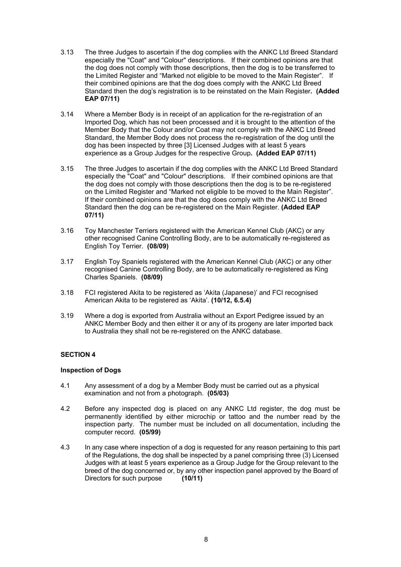- 3.13 The three Judges to ascertain if the dog complies with the ANKC Ltd Breed Standard especially the "Coat" and "Colour" descriptions. If their combined opinions are that the dog does not comply with those descriptions, then the dog is to be transferred to the Limited Register and "Marked not eligible to be moved to the Main Register". If their combined opinions are that the dog does comply with the ANKC Ltd Breed Standard then the dog's registration is to be reinstated on the Main Register**. (Added EAP 07/11)**
- 3.14 Where a Member Body is in receipt of an application for the re-registration of an Imported Dog, which has not been processed and it is brought to the attention of the Member Body that the Colour and/or Coat may not comply with the ANKC Ltd Breed Standard, the Member Body does not process the re-registration of the dog until the dog has been inspected by three [3] Licensed Judges with at least 5 years experience as a Group Judges for the respective Group**. (Added EAP 07/11)**
- 3.15 The three Judges to ascertain if the dog complies with the ANKC Ltd Breed Standard especially the "Coat" and "Colour" descriptions. If their combined opinions are that the dog does not comply with those descriptions then the dog is to be re-registered on the Limited Register and "Marked not eligible to be moved to the Main Register". If their combined opinions are that the dog does comply with the ANKC Ltd Breed Standard then the dog can be re-registered on the Main Register. **(Added EAP 07/11)**
- 3.16 Toy Manchester Terriers registered with the American Kennel Club (AKC) or any other recognised Canine Controlling Body, are to be automatically re-registered as English Toy Terrier. **(08/09)**
- 3.17 English Toy Spaniels registered with the American Kennel Club (AKC) or any other recognised Canine Controlling Body, are to be automatically re-registered as King Charles Spaniels. **(08/09)**
- 3.18 FCI registered Akita to be registered as 'Akita (Japanese)' and FCI recognised American Akita to be registered as 'Akita'. **(10/12, 6.5.4)**
- 3.19 Where a dog is exported from Australia without an Export Pedigree issued by an ANKC Member Body and then either it or any of its progeny are later imported back to Australia they shall not be re-registered on the ANKC database.

# <span id="page-9-0"></span>**SECTION 4**

# <span id="page-9-1"></span>**Inspection of Dogs**

- 4.1 Any assessment of a dog by a Member Body must be carried out as a physical examination and not from a photograph. **(05/03)**
- 4.2 Before any inspected dog is placed on any ANKC Ltd register, the dog must be permanently identified by either microchip or tattoo and the number read by the inspection party. The number must be included on all documentation, including the computer record. **(05/99)**
- 4.3 In any case where inspection of a dog is requested for any reason pertaining to this part of the Regulations, the dog shall be inspected by a panel comprising three (3) Licensed Judges with at least 5 years experience as a Group Judge for the Group relevant to the breed of the dog concerned or, by any other inspection panel approved by the Board of Directors for such purpose **(10/11)**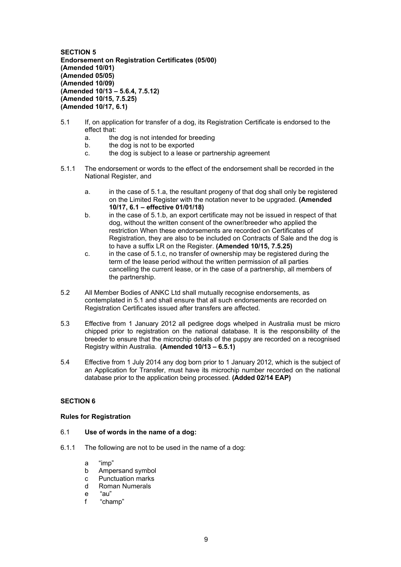**SECTION 5 Endorsement on Registration Certificates (05/00) (Amended 10/01) (Amended 05/05) (Amended 10/09) (Amended 10/13 – 5.6.4, 7.5.12) (Amended 10/15, 7.5.25) (Amended 10/17, 6.1)**

- 5.1 If, on application for transfer of a dog, its Registration Certificate is endorsed to the effect that:
	- a. the dog is not intended for breeding
	- b. the dog is not to be exported
	- c. the dog is subject to a lease or partnership agreement
- 5.1.1 The endorsement or words to the effect of the endorsement shall be recorded in the National Register, and
	- a. in the case of 5.1.a, the resultant progeny of that dog shall only be registered on the Limited Register with the notation never to be upgraded. **(Amended 10/17, 6.1 – effective 01/01/18)**
	- b. in the case of 5.1.b, an export certificate may not be issued in respect of that dog, without the written consent of the owner/breeder who applied the restriction When these endorsements are recorded on Certificates of Registration, they are also to be included on Contracts of Sale and the dog is to have a suffix LR on the Register. **(Amended 10/15, 7.5.25)**
	- c. in the case of 5.1.c, no transfer of ownership may be registered during the term of the lease period without the written permission of all parties cancelling the current lease, or in the case of a partnership, all members of the partnership.
- 5.2 All Member Bodies of ANKC Ltd shall mutually recognise endorsements, as contemplated in 5.1 and shall ensure that all such endorsements are recorded on Registration Certificates issued after transfers are affected.
- 5.3 Effective from 1 January 2012 all pedigree dogs whelped in Australia must be micro chipped prior to registration on the national database. It is the responsibility of the breeder to ensure that the microchip details of the puppy are recorded on a recognised Registry within Australia. **(Amended 10/13 – 6.5.1)**
- 5.4 Effective from 1 July 2014 any dog born prior to 1 January 2012, which is the subject of an Application for Transfer, must have its microchip number recorded on the national database prior to the application being processed. **(Added 02/14 EAP)**

# <span id="page-10-0"></span>**SECTION 6**

#### <span id="page-10-1"></span>**Rules for Registration**

# 6.1 **Use of words in the name of a dog:**

- 6.1.1 The following are not to be used in the name of a dog:
	- a "imp"
	- b Ampersand symbol
	- c Punctuation marks<br>d Roman Numerals
	- Roman Numerals
	- e "au"
	- f "champ"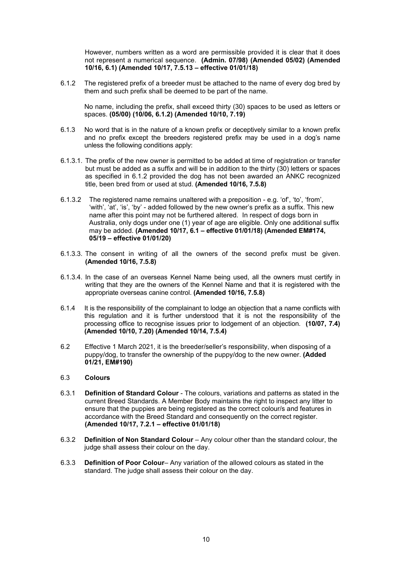However, numbers written as a word are permissible provided it is clear that it does not represent a numerical sequence. **(Admin. 07/98) (Amended 05/02) (Amended 10/16, 6.1) (Amended 10/17, 7.5.13 – effective 01/01/18)**

6.1.2 The registered prefix of a breeder must be attached to the name of every dog bred by them and such prefix shall be deemed to be part of the name.

No name, including the prefix, shall exceed thirty (30) spaces to be used as letters or spaces. **(05/00) (10/06, 6.1.2) (Amended 10/10, 7.19)**

- 6.1.3 No word that is in the nature of a known prefix or deceptively similar to a known prefix and no prefix except the breeders registered prefix may be used in a dog's name unless the following conditions apply:
- 6.1.3.1. The prefix of the new owner is permitted to be added at time of registration or transfer but must be added as a suffix and will be in addition to the thirty (30) letters or spaces as specified in 6.1.2 provided the dog has not been awarded an ANKC recognized title, been bred from or used at stud. **(Amended 10/16, 7.5.8)**
- 6.1.3.2 The registered name remains unaltered with a preposition e.g. 'of', 'to', 'from', 'with', 'at', 'is', 'by' - added followed by the new owner's prefix as a suffix. This new name after this point may not be furthered altered. In respect of dogs born in Australia, only dogs under one (1) year of age are eligible. Only one additional suffix may be added. **(Amended 10/17, 6.1 – effective 01/01/18) (Amended EM#174, 05/19 – effective 01/01/20)**
- 6.1.3.3. The consent in writing of all the owners of the second prefix must be given. **(Amended 10/16, 7.5.8)**
- 6.1.3.4. In the case of an overseas Kennel Name being used, all the owners must certify in writing that they are the owners of the Kennel Name and that it is registered with the appropriate overseas canine control. **(Amended 10/16, 7.5.8)**
- 6.1.4 It is the responsibility of the complainant to lodge an objection that a name conflicts with this regulation and it is further understood that it is not the responsibility of the processing office to recognise issues prior to lodgement of an objection. **(10/07, 7.4) (Amended 10/10, 7.20) (Amended 10/14, 7.5.4)**
- 6.2 Effective 1 March 2021, it is the breeder/seller's responsibility, when disposing of a puppy/dog, to transfer the ownership of the puppy/dog to the new owner. **(Added 01/21, EM#190)**

#### 6.3 **Colours**

- 6.3.1 **Definition of Standard Colour** The colours, variations and patterns as stated in the current Breed Standards. A Member Body maintains the right to inspect any litter to ensure that the puppies are being registered as the correct colour/s and features in accordance with the Breed Standard and consequently on the correct register. **(Amended 10/17, 7.2.1 – effective 01/01/18)**
- 6.3.2 **Definition of Non Standard Colour**  Any colour other than the standard colour, the judge shall assess their colour on the day.
- 6.3.3 **Definition of Poor Colour** Any variation of the allowed colours as stated in the standard. The judge shall assess their colour on the day.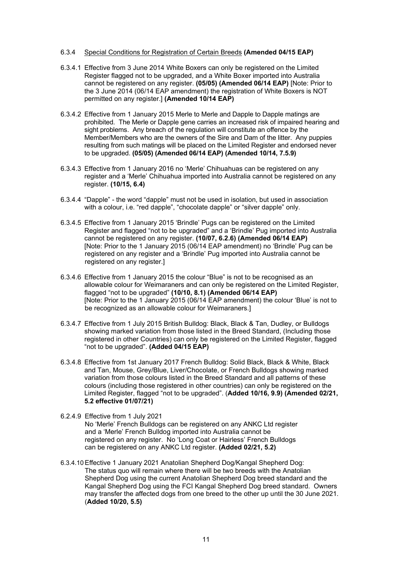#### 6.3.4 Special Conditions for Registration of Certain Breeds **(Amended 04/15 EAP)**

- 6.3.4.1 Effective from 3 June 2014 White Boxers can only be registered on the Limited Register flagged not to be upgraded, and a White Boxer imported into Australia cannot be registered on any register. **(05/05) (Amended 06/14 EAP)** [Note: Prior to the 3 June 2014 (06/14 EAP amendment) the registration of White Boxers is NOT permitted on any register.] **(Amended 10/14 EAP)**
- 6.3.4.2 Effective from 1 January 2015 Merle to Merle and Dapple to Dapple matings are prohibited. The Merle or Dapple gene carries an increased risk of impaired hearing and sight problems. Any breach of the regulation will constitute an offence by the Member/Members who are the owners of the Sire and Dam of the litter. Any puppies resulting from such matings will be placed on the Limited Register and endorsed never to be upgraded. **(05/05) (Amended 06/14 EAP) (Amended 10/14, 7.5.9)**
- 6.3.4.3 Effective from 1 January 2016 no 'Merle' Chihuahuas can be registered on any register and a 'Merle' Chihuahua imported into Australia cannot be registered on any register. **(10/15, 6.4)**
- 6.3.4.4 "Dapple" the word "dapple" must not be used in isolation, but used in association with a colour, i.e. "red dapple", "chocolate dapple" or "silver dapple" only.
- 6.3.4.5 Effective from 1 January 2015 'Brindle' Pugs can be registered on the Limited Register and flagged "not to be upgraded" and a 'Brindle' Pug imported into Australia cannot be registered on any register. **(10/07, 6.2.6) (Amended 06/14 EAP)** [Note: Prior to the 1 January 2015 (06/14 EAP amendment) no 'Brindle' Pug can be registered on any register and a 'Brindle' Pug imported into Australia cannot be registered on any register.]
- 6.3.4.6 Effective from 1 January 2015 the colour "Blue" is not to be recognised as an allowable colour for Weimaraners and can only be registered on the Limited Register, flagged "not to be upgraded" **(10/10, 8.1) (Amended 06/14 EAP)** [Note: Prior to the 1 January 2015 (06/14 EAP amendment) the colour 'Blue' is not to be recognized as an allowable colour for Weimaraners.]
- 6.3.4.7 Effective from 1 July 2015 British Bulldog: Black, Black & Tan, Dudley, or Bulldogs showing marked variation from those listed in the Breed Standard, (Including those registered in other Countries) can only be registered on the Limited Register, flagged "not to be upgraded". **(Added 04/15 EAP)**
- 6.3.4.8 Effective from 1st January 2017 French Bulldog: Solid Black, Black & White, Black and Tan, Mouse, Grey/Blue, Liver/Chocolate, or French Bulldogs showing marked variation from those colours listed in the Breed Standard and all patterns of these colours (including those registered in other countries) can only be registered on the Limited Register, flagged "not to be upgraded". (**Added 10/16, 9.9) (Amended 02/21, 5.2 effective 01/07/21)**
- 6.2.4.9 Effective from 1 July 2021 No 'Merle' French Bulldogs can be registered on any ANKC Ltd register and a 'Merle' French Bulldog imported into Australia cannot be registered on any register. No 'Long Coat or Hairless' French Bulldogs can be registered on any ANKC Ltd register. **(Added 02/21, 5.2)**
- 6.3.4.10 Effective 1 January 2021 Anatolian Shepherd Dog/Kangal Shepherd Dog: The status quo will remain where there will be two breeds with the Anatolian Shepherd Dog using the current Anatolian Shepherd Dog breed standard and the Kangal Shepherd Dog using the FCI Kangal Shepherd Dog breed standard. Owners may transfer the affected dogs from one breed to the other up until the 30 June 2021. (**Added 10/20, 5.5)**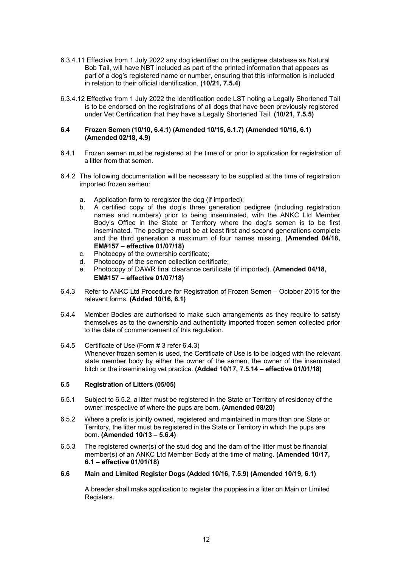- 6.3.4.11 Effective from 1 July 2022 any dog identified on the pedigree database as Natural Bob Tail, will have NBT included as part of the printed information that appears as part of a dog's registered name or number, ensuring that this information is included in relation to their official identification. **(10/21, 7.5.4)**
- 6.3.4.12 Effective from 1 July 2022 the identification code LST noting a Legally Shortened Tail is to be endorsed on the registrations of all dogs that have been previously registered under Vet Certification that they have a Legally Shortened Tail. **(10/21, 7.5.5)**

#### **6.4 Frozen Semen (10/10, 6.4.1) (Amended 10/15, 6.1.7) (Amended 10/16, 6.1) (Amended 02/18, 4.9)**

- 6.4.1 Frozen semen must be registered at the time of or prior to application for registration of a litter from that semen.
- 6.4.2 The following documentation will be necessary to be supplied at the time of registration imported frozen semen:
	- a. Application form to reregister the dog (if imported);<br>b. A certified copy of the dog's three generation
	- b. A certified copy of the dog's three generation pedigree (including registration names and numbers) prior to being inseminated, with the ANKC Ltd Member Bodv's Office in the State or Territory where the dog's semen is to be first inseminated. The pedigree must be at least first and second generations complete and the third generation a maximum of four names missing. **(Amended 04/18, EM#157 – effective 01/07/18)**
	- c. Photocopy of the ownership certificate;
	- d. Photocopy of the semen collection certificate;
	- e. Photocopy of DAWR final clearance certificate (if imported). **(Amended 04/18, EM#157 – effective 01/07/18)**
- 6.4.3 Refer to ANKC Ltd Procedure for Registration of Frozen Semen October 2015 for the relevant forms. **(Added 10/16, 6.1)**
- 6.4.4 Member Bodies are authorised to make such arrangements as they require to satisfy themselves as to the ownership and authenticity imported frozen semen collected prior to the date of commencement of this regulation.
- 6.4.5 Certificate of Use (Form # 3 refer 6.4.3) Whenever frozen semen is used, the Certificate of Use is to be lodged with the relevant state member body by either the owner of the semen, the owner of the inseminated bitch or the inseminating vet practice. **(Added 10/17, 7.5.14 – effective 01/01/18)**

# **6.5 Registration of Litters (05/05)**

- 6.5.1 Subject to 6.5.2, a litter must be registered in the State or Territory of residency of the owner irrespective of where the pups are born. **(Amended 08/20)**
- 6.5.2 Where a prefix is jointly owned, registered and maintained in more than one State or Territory, the litter must be registered in the State or Territory in which the pups are born. **(Amended 10/13 – 5.6.4)**
- 6.5.3 The registered owner(s) of the stud dog and the dam of the litter must be financial member(s) of an ANKC Ltd Member Body at the time of mating. **(Amended 10/17, 6.1 – effective 01/01/18)**

#### **6.6 Main and Limited Register Dogs (Added 10/16, 7.5.9) (Amended 10/19, 6.1)**

A breeder shall make application to register the puppies in a litter on Main or Limited Registers.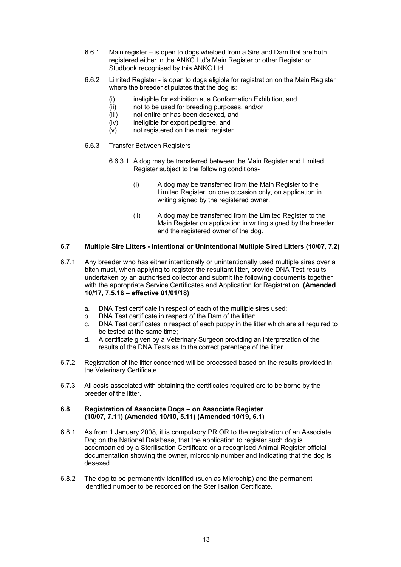- 6.6.1 Main register is open to dogs whelped from a Sire and Dam that are both registered either in the ANKC Ltd's Main Register or other Register or Studbook recognised by this ANKC Ltd.
- 6.6.2 Limited Register is open to dogs eligible for registration on the Main Register where the breeder stipulates that the dog is:
	- (i) ineligible for exhibition at a Conformation Exhibition, and
	- (ii) not to be used for breeding purposes, and/or
	- (iii) not entire or has been desexed, and
	- (iv) ineligible for export pedigree, and
	- (v) not registered on the main register
- 6.6.3 Transfer Between Registers
	- 6.6.3.1 A dog may be transferred between the Main Register and Limited Register subject to the following conditions-
		- (i) A dog may be transferred from the Main Register to the Limited Register, on one occasion only, on application in writing signed by the registered owner.
		- (ii) A dog may be transferred from the Limited Register to the Main Register on application in writing signed by the breeder and the registered owner of the dog.

#### **6.7 Multiple Sire Litters - Intentional or Unintentional Multiple Sired Litters (10/07, 7.2)**

- 6.7.1 Any breeder who has either intentionally or unintentionally used multiple sires over a bitch must, when applying to register the resultant litter, provide DNA Test results undertaken by an authorised collector and submit the following documents together with the appropriate Service Certificates and Application for Registration. **(Amended 10/17, 7.5.16 – effective 01/01/18)**
	- a. DNA Test certificate in respect of each of the multiple sires used;
	- b. DNA Test certificate in respect of the Dam of the litter;
	- c. DNA Test certificates in respect of each puppy in the litter which are all required to be tested at the same time;
	- d. A certificate given by a Veterinary Surgeon providing an interpretation of the results of the DNA Tests as to the correct parentage of the litter.
- 6.7.2 Registration of the litter concerned will be processed based on the results provided in the Veterinary Certificate.
- 6.7.3 All costs associated with obtaining the certificates required are to be borne by the breeder of the litter.

#### **6.8 Registration of Associate Dogs – on Associate Register (10/07, 7.11) (Amended 10/10, 5.11) (Amended 10/19, 6.1)**

- 6.8.1 As from 1 January 2008, it is compulsory PRIOR to the registration of an Associate Dog on the National Database, that the application to register such dog is accompanied by a Sterilisation Certificate or a recognised Animal Register official documentation showing the owner, microchip number and indicating that the dog is desexed.
- 6.8.2 The dog to be permanently identified (such as Microchip) and the permanent identified number to be recorded on the Sterilisation Certificate.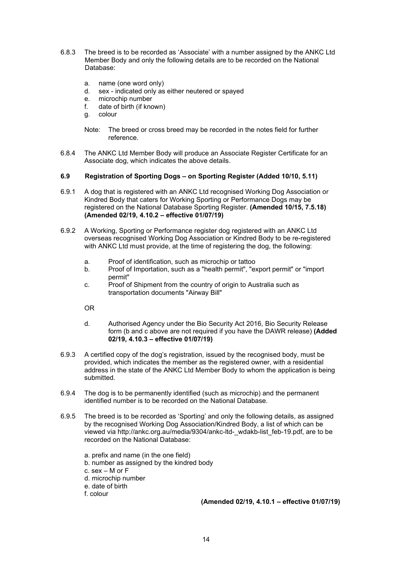- 6.8.3 The breed is to be recorded as 'Associate' with a number assigned by the ANKC Ltd Member Body and only the following details are to be recorded on the National Database:
	- a. name (one word only)
	- d. sex indicated only as either neutered or spayed
	- e. microchip number
	- f. date of birth (if known)
	- g. colour
	- Note: The breed or cross breed may be recorded in the notes field for further reference.
- 6.8.4 The ANKC Ltd Member Body will produce an Associate Register Certificate for an Associate dog, which indicates the above details.

#### **6.9 Registration of Sporting Dogs – on Sporting Register (Added 10/10, 5.11)**

- 6.9.1 A dog that is registered with an ANKC Ltd recognised Working Dog Association or Kindred Body that caters for Working Sporting or Performance Dogs may be registered on the National Database Sporting Register. **(Amended 10/15, 7.5.18) (Amended 02/19, 4.10.2 – effective 01/07/19)**
- 6.9.2 A Working, Sporting or Performance register dog registered with an ANKC Ltd overseas recognised Working Dog Association or Kindred Body to be re-registered with ANKC Ltd must provide, at the time of registering the dog, the following:
	- a. Proof of identification, such as microchip or tattoo
	- b. Proof of Importation, such as a "health permit", "export permit" or "import permit"
	- c. Proof of Shipment from the country of origin to Australia such as transportation documents "Airway Bill"

OR

- d. Authorised Agency under the Bio Security Act 2016, Bio Security Release form (b and c above are not required if you have the DAWR release) **(Added 02/19, 4.10.3 – effective 01/07/19)**
- 6.9.3 A certified copy of the dog's registration, issued by the recognised body, must be provided, which indicates the member as the registered owner, with a residential address in the state of the ANKC Ltd Member Body to whom the application is being submitted.
- 6.9.4 The dog is to be permanently identified (such as microchip) and the permanent identified number is to be recorded on the National Database.
- 6.9.5 The breed is to be recorded as 'Sporting' and only the following details, as assigned by the recognised Working Dog Association/Kindred Body, a list of which can be viewed via http://ankc.org.au/media/9304/ankc-ltd-\_wdakb-list\_feb-19.pdf, are to be recorded on the National Database:
	- a. prefix and name (in the one field)
	- b. number as assigned by the kindred body
	- c. sex M or F
	- d. microchip number
	- e. date of birth

f. colour

**(Amended 02/19, 4.10.1 – effective 01/07/19)**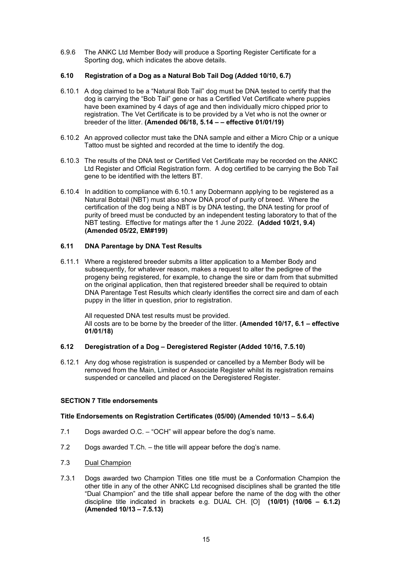6.9.6 The ANKC Ltd Member Body will produce a Sporting Register Certificate for a Sporting dog, which indicates the above details.

#### **6.10 Registration of a Dog as a Natural Bob Tail Dog (Added 10/10, 6.7)**

- 6.10.1 A dog claimed to be a "Natural Bob Tail" dog must be DNA tested to certify that the dog is carrying the "Bob Tail" gene or has a Certified Vet Certificate where puppies have been examined by 4 days of age and then individually micro chipped prior to registration. The Vet Certificate is to be provided by a Vet who is not the owner or breeder of the litter. **(Amended 06/18, 5.14 – – effective 01/01/19)**
- 6.10.2 An approved collector must take the DNA sample and either a Micro Chip or a unique Tattoo must be sighted and recorded at the time to identify the dog.
- 6.10.3 The results of the DNA test or Certified Vet Certificate may be recorded on the ANKC Ltd Register and Official Registration form. A dog certified to be carrying the Bob Tail gene to be identified with the letters BT.
- 6.10.4 In addition to compliance with 6.10.1 any Dobermann applying to be registered as a Natural Bobtail (NBT) must also show DNA proof of purity of breed. Where the certification of the dog being a NBT is by DNA testing, the DNA testing for proof of purity of breed must be conducted by an independent testing laboratory to that of the NBT testing. Effective for matings after the 1 June 2022. **(Added 10/21, 9.4) (Amended 05/22, EM#199)**

#### **6.11 DNA Parentage by DNA Test Results**

6.11.1 Where a registered breeder submits a litter application to a Member Body and subsequently, for whatever reason, makes a request to alter the pedigree of the progeny being registered, for example, to change the sire or dam from that submitted on the original application, then that registered breeder shall be required to obtain DNA Parentage Test Results which clearly identifies the correct sire and dam of each puppy in the litter in question, prior to registration.

All requested DNA test results must be provided. All costs are to be borne by the breeder of the litter. **(Amended 10/17, 6.1 – effective 01/01/18)** 

# **6.12 Deregistration of a Dog – Deregistered Register (Added 10/16, 7.5.10)**

6.12.1 Any dog whose registration is suspended or cancelled by a Member Body will be removed from the Main, Limited or Associate Register whilst its registration remains suspended or cancelled and placed on the Deregistered Register.

#### <span id="page-16-0"></span>**SECTION 7 Title endorsements**

#### <span id="page-16-1"></span>**Title Endorsements on Registration Certificates (05/00) (Amended 10/13 – 5.6.4)**

- 7.1 Dogs awarded O.C. "OCH" will appear before the dog's name.
- 7.2 Dogs awarded T.Ch. the title will appear before the dog's name.
- 7.3 Dual Champion
- 7.3.1 Dogs awarded two Champion Titles one title must be a Conformation Champion the other title in any of the other ANKC Ltd recognised disciplines shall be granted the title "Dual Champion" and the title shall appear before the name of the dog with the other discipline title indicated in brackets e.g. DUAL CH. [O] **(10/01) (10/06 – 6.1.2) (Amended 10/13 – 7.5.13)**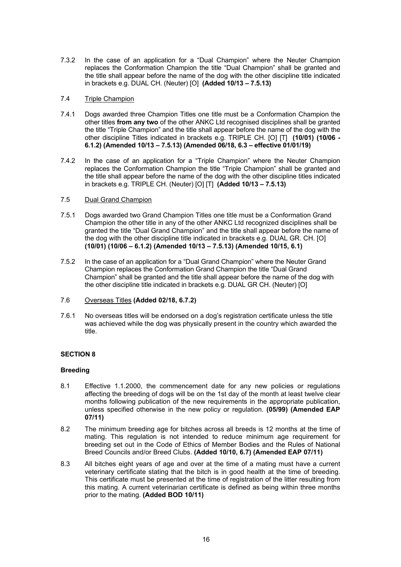7.3.2 In the case of an application for a "Dual Champion" where the Neuter Champion replaces the Conformation Champion the title "Dual Champion" shall be granted and the title shall appear before the name of the dog with the other discipline title indicated in brackets e.g. DUAL CH. (Neuter) [O] **(Added 10/13 – 7.5.13)**

# 7.4 Triple Champion

- 7.4.1 Dogs awarded three Champion Titles one title must be a Conformation Champion the other titles **from any two** of the other ANKC Ltd recognised disciplines shall be granted the title "Triple Champion" and the title shall appear before the name of the dog with the other discipline Titles indicated in brackets e.g. TRIPLE CH. [O] [T] **(10/01) (10/06 - 6.1.2) (Amended 10/13 – 7.5.13) (Amended 06/18, 6.3 – effective 01/01/19)**
- 7.4.2 In the case of an application for a "Triple Champion" where the Neuter Champion replaces the Conformation Champion the title "Triple Champion" shall be granted and the title shall appear before the name of the dog with the other discipline titles indicated in brackets e.g. TRIPLE CH. (Neuter) [O] [T] **(Added 10/13 – 7.5.13)**

# 7.5 Dual Grand Champion

- 7.5.1 Dogs awarded two Grand Champion Titles one title must be a Conformation Grand Champion the other title in any of the other ANKC Ltd recognized disciplines shall be granted the title "Dual Grand Champion" and the title shall appear before the name of the dog with the other discipline title indicated in brackets e.g. DUAL GR. CH. [O] **(10/01) (10/06 – 6.1.2) (Amended 10/13 – 7.5.13) (Amended 10/15, 6.1)**
- 7.5.2 In the case of an application for a "Dual Grand Champion" where the Neuter Grand Champion replaces the Conformation Grand Champion the title "Dual Grand Champion" shall be granted and the title shall appear before the name of the dog with the other discipline title indicated in brackets e.g. DUAL GR CH. (Neuter) [O]
- 7.6 Overseas Titles **(Added 02/18, 6.7.2)**
- 7.6.1 No overseas titles will be endorsed on a dog's registration certificate unless the title was achieved while the dog was physically present in the country which awarded the title.

# <span id="page-17-0"></span>**SECTION 8**

#### <span id="page-17-1"></span>**Breeding**

- 8.1 Effective 1.1.2000, the commencement date for any new policies or regulations affecting the breeding of dogs will be on the 1st day of the month at least twelve clear months following publication of the new requirements in the appropriate publication, unless specified otherwise in the new policy or regulation. **(05/99) (Amended EAP 07/11)**
- 8.2 The minimum breeding age for bitches across all breeds is 12 months at the time of mating. This regulation is not intended to reduce minimum age requirement for breeding set out in the Code of Ethics of Member Bodies and the Rules of National Breed Councils and/or Breed Clubs. **(Added 10/10, 6.7) (Amended EAP 07/11)**
- 8.3 All bitches eight years of age and over at the time of a mating must have a current veterinary certificate stating that the bitch is in good health at the time of breeding. This certificate must be presented at the time of registration of the litter resulting from this mating. A current veterinarian certificate is defined as being within three months prior to the mating. **(Added BOD 10/11)**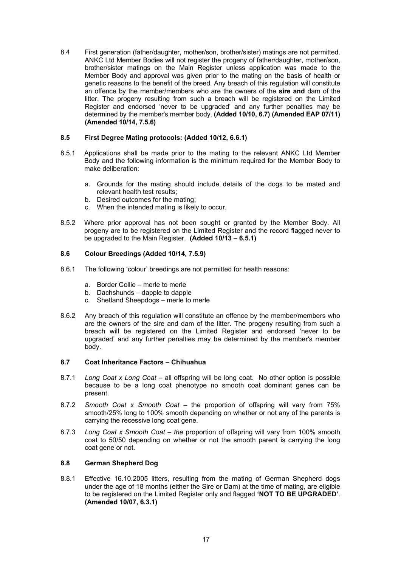8.4 First generation (father/daughter, mother/son, brother/sister) matings are not permitted. ANKC Ltd Member Bodies will not register the progeny of father/daughter, mother/son, brother/sister matings on the Main Register unless application was made to the Member Body and approval was given prior to the mating on the basis of health or genetic reasons to the benefit of the breed. Any breach of this regulation will constitute an offence by the member/members who are the owners of the **sire and** dam of the litter. The progeny resulting from such a breach will be registered on the Limited Register and endorsed 'never to be upgraded' and any further penalties may be determined by the member's member body. **(Added 10/10, 6.7) (Amended EAP 07/11) (Amended 10/14, 7.5.6)**

# **8.5 First Degree Mating protocols: (Added 10/12, 6.6.1)**

- 8.5.1 Applications shall be made prior to the mating to the relevant ANKC Ltd Member Body and the following information is the minimum required for the Member Body to make deliberation:
	- a. Grounds for the mating should include details of the dogs to be mated and relevant health test results;
	- b. Desired outcomes for the mating;
	- c. When the intended mating is likely to occur.
- 8.5.2 Where prior approval has not been sought or granted by the Member Body. All progeny are to be registered on the Limited Register and the record flagged never to be upgraded to the Main Register. **(Added 10/13 – 6.5.1)**

# **8.6 Colour Breedings (Added 10/14, 7.5.9)**

- 8.6.1 The following 'colour' breedings are not permitted for health reasons:
	- a. Border Collie merle to merle
	- b. Dachshunds dapple to dapple
	- c. Shetland Sheepdogs merle to merle
- 8.6.2 Any breach of this regulation will constitute an offence by the member/members who are the owners of the sire and dam of the litter. The progeny resulting from such a breach will be registered on the Limited Register and endorsed 'never to be upgraded' and any further penalties may be determined by the member's member body.

#### **8.7 Coat Inheritance Factors – Chihuahua**

- 8.7.1 *Long Coat x Long Coat* all offspring will be long coat. No other option is possible because to be a long coat phenotype no smooth coat dominant genes can be present.
- 8.7.2 *Smooth Coat x Smooth Coat –* the proportion of offspring will vary from 75% smooth/25% long to 100% smooth depending on whether or not any of the parents is carrying the recessive long coat gene.
- 8.7.3 *Long Coat x Smooth Coat – the* proportion of offspring will vary from 100% smooth coat to 50/50 depending on whether or not the smooth parent is carrying the long coat gene or not.

#### **8.8 German Shepherd Dog**

8.8.1 Effective 16.10.2005 litters, resulting from the mating of German Shepherd dogs under the age of 18 months (either the Sire or Dam) at the time of mating, are eligible to be registered on the Limited Register only and flagged **'NOT TO BE UPGRADED'**. **(Amended 10/07, 6.3.1)**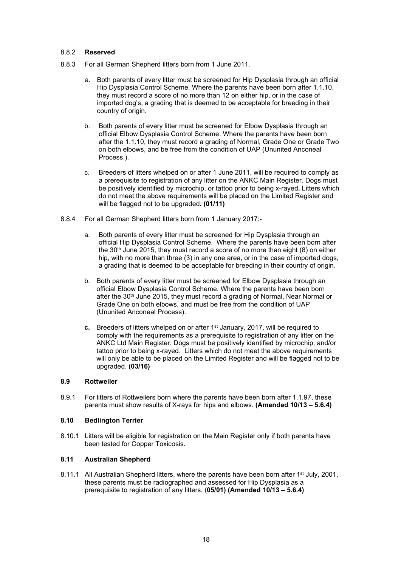# 8.8.2 **Reserved**

- 8.8.3 For all German Shepherd litters born from 1 June 2011.
	- a. Both parents of every litter must be screened for Hip Dysplasia through an official Hip Dysplasia Control Scheme. Where the parents have been born after 1.1.10, they must record a score of no more than 12 on either hip, or in the case of imported dog's, a grading that is deemed to be acceptable for breeding in their country of origin.
	- b. Both parents of every litter must be screened for Elbow Dysplasia through an official Elbow Dysplasia Control Scheme. Where the parents have been born after the 1.1.10, they must record a grading of Normal, Grade One or Grade Two on both elbows, and be free from the condition of UAP (Ununited Anconeal Process.).
	- c. Breeders of litters whelped on or after 1 June 2011, will be required to comply as a prerequisite to registration of any litter on the ANKC Main Register. Dogs must be positively identified by microchip, or tattoo prior to being x-rayed**.** Litters which do not meet the above requirements will be placed on the Limited Register and will be flagged not to be upgraded**. (01/11)**
- 8.8.4 For all German Shepherd litters born from 1 January 2017:
	- a. Both parents of every litter must be screened for Hip Dysplasia through an official Hip Dysplasia Control Scheme. Where the parents have been born after the  $30<sup>th</sup>$  June 2015, they must record a score of no more than eight (8) on either hip, with no more than three (3) in any one area, or in the case of imported dogs, a grading that is deemed to be acceptable for breeding in their country of origin.
	- b. Both parents of every litter must be screened for Elbow Dysplasia through an official Elbow Dysplasia Control Scheme. Where the parents have been born after the 30<sup>th</sup> June 2015, they must record a grading of Normal, Near Normal or Grade One on both elbows, and must be free from the condition of UAP (Ununited Anconeal Process).
	- **c.** Breeders of litters whelped on or after 1st January, 2017, will be required to comply with the requirements as a prerequisite to registration of any litter on the ANKC Ltd Main Register. Dogs must be positively identified by microchip, and/or tattoo prior to being x-rayed. Litters which do not meet the above requirements will only be able to be placed on the Limited Register and will be flagged not to be upgraded. **(03/16)**

# **8.9 Rottweiler**

8.9.1 For litters of Rottweilers born where the parents have been born after 1.1.97, these parents must show results of X-rays for hips and elbows. **(Amended 10/13 – 5.6.4)**

# **8.10 Bedlington Terrier**

8.10.1 Litters will be eligible for registration on the Main Register only if both parents have been tested for Copper Toxicosis.

# **8.11 Australian Shepherd**

8.11.1 All Australian Shepherd litters, where the parents have been born after 1<sup>st</sup> July, 2001, these parents must be radiographed and assessed for Hip Dysplasia as a prerequisite to registration of any litters. (**05/01) (Amended 10/13 – 5.6.4)**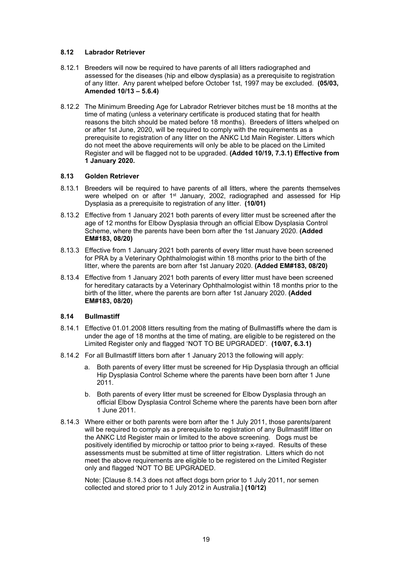# **8.12 Labrador Retriever**

- 8.12.1 Breeders will now be required to have parents of all litters radiographed and assessed for the diseases (hip and elbow dysplasia) as a prerequisite to registration of any litter. Any parent whelped before October 1st, 1997 may be excluded. **(05/03, Amended 10/13 – 5.6.4)**
- 8.12.2 The Minimum Breeding Age for Labrador Retriever bitches must be 18 months at the time of mating (unless a veterinary certificate is produced stating that for health reasons the bitch should be mated before 18 months). Breeders of litters whelped on or after 1st June, 2020, will be required to comply with the requirements as a prerequisite to registration of any litter on the ANKC Ltd Main Register. Litters which do not meet the above requirements will only be able to be placed on the Limited Register and will be flagged not to be upgraded. **(Added 10/19, 7.3.1) Effective from 1 January 2020.**

#### **8.13 Golden Retriever**

- 8.13.1 Breeders will be required to have parents of all litters, where the parents themselves were whelped on or after 1<sup>st</sup> January, 2002, radiographed and assessed for Hip Dysplasia as a prerequisite to registration of any litter. **(10/01)**
- 8.13.2 Effective from 1 January 2021 both parents of every litter must be screened after the age of 12 months for Elbow Dysplasia through an official Elbow Dysplasia Control Scheme, where the parents have been born after the 1st January 2020. **(Added EM#183, 08/20)**
- 8.13.3 Effective from 1 January 2021 both parents of every litter must have been screened for PRA by a Veterinary Ophthalmologist within 18 months prior to the birth of the litter, where the parents are born after 1st January 2020. **(Added EM#183, 08/20)**
- 8.13.4 Effective from 1 January 2021 both parents of every litter must have been screened for hereditary cataracts by a Veterinary Ophthalmologist within 18 months prior to the birth of the litter, where the parents are born after 1st January 2020. **(Added EM#183, 08/20)**

# **8.14 Bullmastiff**

- 8.14.1 Effective 01.01.2008 litters resulting from the mating of Bullmastiffs where the dam is under the age of 18 months at the time of mating, are eligible to be registered on the Limited Register only and flagged 'NOT TO BE UPGRADED'. **(10/07, 6.3.1)**
- 8.14.2 For all Bullmastiff litters born after 1 January 2013 the following will apply:
	- a. Both parents of every litter must be screened for Hip Dysplasia through an official Hip Dysplasia Control Scheme where the parents have been born after 1 June 2011.
	- b. Both parents of every litter must be screened for Elbow Dysplasia through an official Elbow Dysplasia Control Scheme where the parents have been born after 1 June 2011.
- 8.14.3 Where either or both parents were born after the 1 July 2011, those parents/parent will be required to comply as a prerequisite to registration of any Bullmastiff litter on the ANKC Ltd Register main or limited to the above screening. Dogs must be positively identified by microchip or tattoo prior to being x-rayed. Results of these assessments must be submitted at time of litter registration. Litters which do not meet the above requirements are eligible to be registered on the Limited Register only and flagged 'NOT TO BE UPGRADED.

Note: [Clause 8.14.3 does not affect dogs born prior to 1 July 2011, nor semen collected and stored prior to 1 July 2012 in Australia.] **(10/12)**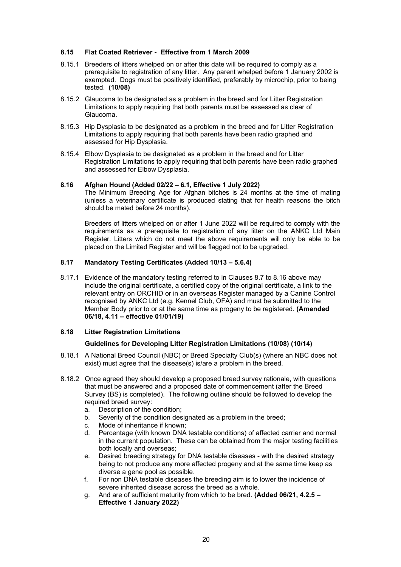# **8.15 Flat Coated Retriever - Effective from 1 March 2009**

- 8.15.1 Breeders of litters whelped on or after this date will be required to comply as a prerequisite to registration of any litter. Any parent whelped before 1 January 2002 is exempted. Dogs must be positively identified, preferably by microchip, prior to being tested. **(10/08)**
- 8.15.2 Glaucoma to be designated as a problem in the breed and for Litter Registration Limitations to apply requiring that both parents must be assessed as clear of Glaucoma.
- 8.15.3 Hip Dysplasia to be designated as a problem in the breed and for Litter Registration Limitations to apply requiring that both parents have been radio graphed and assessed for Hip Dysplasia.
- 8.15.4 Elbow Dysplasia to be designated as a problem in the breed and for Litter Registration Limitations to apply requiring that both parents have been radio graphed and assessed for Elbow Dysplasia.

#### **8.16 Afghan Hound (Added 02/22 – 6.1, Effective 1 July 2022)**

The Minimum Breeding Age for Afghan bitches is 24 months at the time of mating (unless a veterinary certificate is produced stating that for health reasons the bitch should be mated before 24 months).

Breeders of litters whelped on or after 1 June 2022 will be required to comply with the requirements as a prerequisite to registration of any litter on the ANKC Ltd Main Register. Litters which do not meet the above requirements will only be able to be placed on the Limited Register and will be flagged not to be upgraded.

# <span id="page-21-0"></span>**8.17 Mandatory Testing Certificates (Added 10/13 – 5.6.4)**

8.17.1 Evidence of the mandatory testing referred to in Clauses 8.7 to 8.16 above may include the original certificate, a certified copy of the original certificate, a link to the relevant entry on ORCHID or in an overseas Register managed by a Canine Control recognised by ANKC Ltd (e.g. Kennel Club, OFA) and must be submitted to the Member Body prior to or at the same time as progeny to be registered. **(Amended 06/18, 4.11 – effective 01/01/19)**

#### <span id="page-21-2"></span><span id="page-21-1"></span>**8.18 Litter Registration Limitations**

#### **Guidelines for Developing Litter Registration Limitations (10/08) (10/14)**

- 8.18.1 A National Breed Council (NBC) or Breed Specialty Club(s) (where an NBC does not exist) must agree that the disease(s) is/are a problem in the breed.
- 8.18.2 Once agreed they should develop a proposed breed survey rationale, with questions that must be answered and a proposed date of commencement (after the Breed Survey (BS) is completed). The following outline should be followed to develop the required breed survey:
	- a. Description of the condition;
	- b. Severity of the condition designated as a problem in the breed;
	- c. Mode of inheritance if known;
	- d. Percentage (with known DNA testable conditions) of affected carrier and normal in the current population. These can be obtained from the major testing facilities both locally and overseas;
	- e. Desired breeding strategy for DNA testable diseases with the desired strategy being to not produce any more affected progeny and at the same time keep as diverse a gene pool as possible.
	- f. For non DNA testable diseases the breeding aim is to lower the incidence of severe inherited disease across the breed as a whole.
	- g. And are of sufficient maturity from which to be bred. **(Added 06/21, 4.2.5 – Effective 1 January 2022)**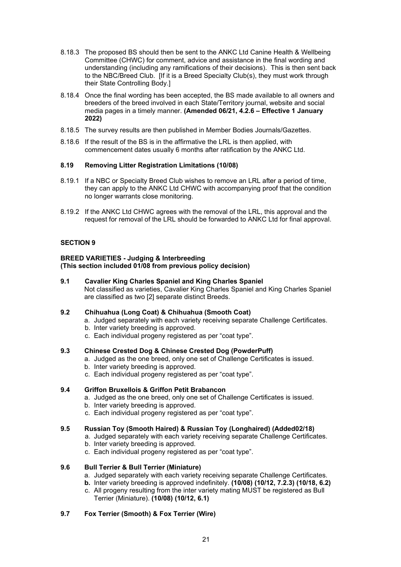- 8.18.3 The proposed BS should then be sent to the ANKC Ltd Canine Health & Wellbeing Committee (CHWC) for comment, advice and assistance in the final wording and understanding (including any ramifications of their decisions). This is then sent back to the NBC/Breed Club. [If it is a Breed Specialty Club(s), they must work through their State Controlling Body.]
- 8.18.4 Once the final wording has been accepted, the BS made available to all owners and breeders of the breed involved in each State/Territory journal, website and social media pages in a timely manner. **(Amended 06/21, 4.2.6 – Effective 1 January 2022)**
- 8.18.5 The survey results are then published in Member Bodies Journals/Gazettes.
- 8.18.6 If the result of the BS is in the affirmative the LRL is then applied, with commencement dates usually 6 months after ratification by the ANKC Ltd.

# <span id="page-22-0"></span>**8.19 Removing Litter Registration Limitations (10/08)**

- 8.19.1 If a NBC or Specialty Breed Club wishes to remove an LRL after a period of time, they can apply to the ANKC Ltd CHWC with accompanying proof that the condition no longer warrants close monitoring.
- 8.19.2 If the ANKC Ltd CHWC agrees with the removal of the LRL, this approval and the request for removal of the LRL should be forwarded to ANKC Ltd for final approval.

# <span id="page-22-1"></span>**SECTION 9**

#### <span id="page-22-2"></span>**BREED VARIETIES - Judging & Interbreeding (This section included 01/08 from previous policy decision)**

# **9.1 Cavalier King Charles Spaniel and King Charles Spaniel** Not classified as varieties, Cavalier King Charles Spaniel and King Charles Spaniel are classified as two [2] separate distinct Breeds.

# **9.2 Chihuahua (Long Coat) & Chihuahua (Smooth Coat)**

- a. Judged separately with each variety receiving separate Challenge Certificates.
- b. Inter variety breeding is approved.
- c. Each individual progeny registered as per "coat type".

# **9.3 Chinese Crested Dog & Chinese Crested Dog (PowderPuff)**

- a. Judged as the one breed, only one set of Challenge Certificates is issued.
- b. Inter variety breeding is approved.
- c. Each individual progeny registered as per "coat type".

# **9.4 Griffon Bruxellois & Griffon Petit Brabancon**

- a. Judged as the one breed, only one set of Challenge Certificates is issued.
- b. Inter variety breeding is approved.
- c. Each individual progeny registered as per "coat type".

#### **9.5 Russian Toy (Smooth Haired) & Russian Toy (Longhaired) (Added02/18)**

- a. Judged separately with each variety receiving separate Challenge Certificates.
- b. Inter variety breeding is approved.
- c. Each individual progeny registered as per "coat type".

# **9.6 Bull Terrier & Bull Terrier (Miniature)**

- a. Judged separately with each variety receiving separate Challenge Certificates.
- **b.** Inter variety breeding is approved indefinitely. **(10/08) (10/12, 7.2.3) (10/18, 6.2)**
- c. All progeny resulting from the inter variety mating MUST be registered as Bull Terrier (Miniature). **(10/08) (10/12, 6.1)**

# **9.7 Fox Terrier (Smooth) & Fox Terrier (Wire)**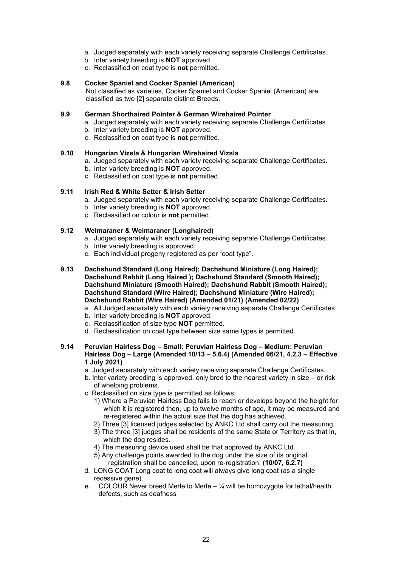- a. Judged separately with each variety receiving separate Challenge Certificates.
- b. Inter variety breeding is **NOT** approved.
- c. Reclassified on coat type is **not** permitted.

#### **9.8 Cocker Spaniel and Cocker Spaniel (American)**

Not classified as varieties, Cocker Spaniel and Cocker Spaniel (American) are classified as two [2] separate distinct Breeds.

# **9.9 German Shorthaired Pointer & German Wirehaired Pointer**

- a. Judged separately with each variety receiving separate Challenge Certificates.
- b. Inter variety breeding is **NOT** approved.
- c. Reclassified on coat type is **not** permitted.

#### **9.10 Hungarian Vizsla & Hungarian Wirehaired Vizsla**

- a. Judged separately with each variety receiving separate Challenge Certificates.
- b. Inter variety breeding is **NOT** approved.
- c. Reclassified on coat type is **not** permitted.

### **9.11 Irish Red & White Setter & Irish Setter**

- a. Judged separately with each variety receiving separate Challenge Certificates.
- b. Inter variety breeding is **NOT** approved.
- c. Reclassified on colour is **not** permitted.

#### **9.12 Weimaraner & Weimaraner (Longhaired)**

- a. Judged separately with each variety receiving separate Challenge Certificates.
- b. Inter variety breeding is approved.
- c. Each individual progeny registered as per "coat type".
- **9.13 Dachshund Standard (Long Haired); Dachshund Miniature (Long Haired); Dachshund Rabbit (Long Haired ); Dachshund Standard (Smooth Haired); Dachshund Miniature (Smooth Haired); Dachshund Rabbit (Smooth Haired); Dachshund Standard (Wire Haired); Dachshund Miniature (Wire Haired); Dachshund Rabbit (Wire Haired) (Amended 01/21) (Amended 02/22)**
	- a. All Judged separately with each variety receiving separate Challenge Certificates.
	- b. Inter variety breeding is **NOT** approved.
	- c. Reclassification of size type **NOT** permitted.
	- d. Reclassification on coat type between size same types is permitted.

#### **9.14 Peruvian Hairless Dog – Small: Peruvian Hairless Dog – Medium: Peruvian Hairless Dog – Large (Amended 10/13 – 5.6.4) (Amended 06/21, 4.2.3 – Effective 1 July 2021)**

- a. Judged separately with each variety receiving separate Challenge Certificates.
- b. Inter variety breeding is approved, only bred to the nearest variety in size or risk of whelping problems.
- c. Reclassified on size type is permitted as follows:
	- 1) Where a Peruvian Hairless Dog fails to reach or develops beyond the height for which it is registered then, up to twelve months of age, it may be measured and re-registered within the actual size that the dog has achieved.
	- 2) Three [3] licensed judges selected by ANKC Ltd shall carry out the measuring.
	- 3) The three [3] judges shall be residents of the same State or Territory as that in, which the dog resides.
	- 4) The measuring device used shall be that approved by ANKC Ltd.
	- 5) Any challenge points awarded to the dog under the size of its original registration shall be cancelled, upon re-registration. **(10/07, 6.2.7)**
- d. LONG COAT Long coat to long coat will always give long coat (as a single recessive gene).
- e. COLOUR Never breed Merle to Merle  $-$  1/4 will be homozygote for lethal/health defects, such as deafness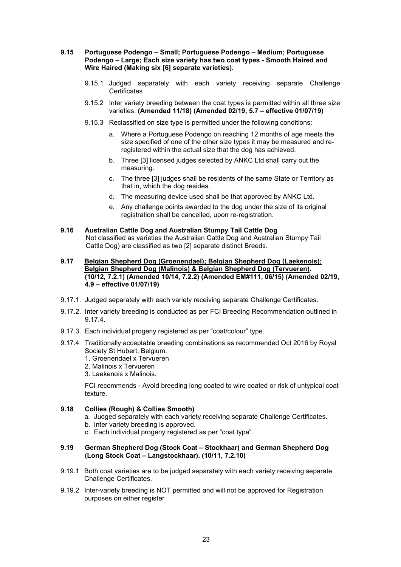#### **9.15 Portuguese Podengo – Small; Portuguese Podengo – Medium; Portuguese Podengo – Large; Each size variety has two coat types - Smooth Haired and Wire Haired (Making six [6] separate varieties).**

- 9.15.1 Judged separately with each variety receiving separate Challenge **Certificates**
- 9.15.2 Inter variety breeding between the coat types is permitted within all three size varieties. **(Amended 11/18) (Amended 02/19, 5.7 – effective 01/07/19)**
- 9.15.3 Reclassified on size type is permitted under the following conditions:
	- a. Where a Portuguese Podengo on reaching 12 months of age meets the size specified of one of the other size types it may be measured and reregistered within the actual size that the dog has achieved.
	- b. Three [3] licensed judges selected by ANKC Ltd shall carry out the measuring.
	- c. The three [3] judges shall be residents of the same State or Territory as that in, which the dog resides.
	- d. The measuring device used shall be that approved by ANKC Ltd.
	- e. Any challenge points awarded to the dog under the size of its original registration shall be cancelled, upon re-registration.

#### **9.16 Australian Cattle Dog and Australian Stumpy Tail Cattle Dog** Not classified as varieties the Australian Cattle Dog and Australian Stumpy Tail Cattle Dog) are classified as two [2] separate distinct Breeds.

- **9.17 Belgian Shepherd Dog (Groenendael); Belgian Shepherd Dog (Laekenois); Belgian Shepherd Dog (Malinois) & Belgian Shepherd Dog (Tervueren). (10/12, 7.2.1) (Amended 10/14, 7.2.2) (Amended EM#111, 06/15) (Amended 02/19, 4.9 – effective 01/07/19)**
- 9.17.1. Judged separately with each variety receiving separate Challenge Certificates.
- 9.17.2. Inter variety breeding is conducted as per FCI Breeding Recommendation outlined in 9.17.4.
- 9.17.3. Each individual progeny registered as per "coat/colour" type.
- 9.17.4 Traditionally acceptable breeding combinations as recommended Oct 2016 by Royal Society St Hubert, Belgium.
	- 1. Groenendael x Tervueren
	- 2. Malinois x Tervueren
	- 3. Laekenois x Malinois.

FCI recommends - Avoid breeding long coated to wire coated or risk of untypical coat texture.

# **9.18 Collies (Rough) & Collies Smooth)**

- a. Judged separately with each variety receiving separate Challenge Certificates.
- b. Inter variety breeding is approved.
- c. Each individual progeny registered as per "coat type".

#### **9.19 German Shepherd Dog (Stock Coat – Stockhaar) and German Shepherd Dog (Long Stock Coat – Langstockhaar). (10/11, 7.2.10)**

- 9.19.1 Both coat varieties are to be judged separately with each variety receiving separate Challenge Certificates.
- 9.19.2 Inter-variety breeding is NOT permitted and will not be approved for Registration purposes on either register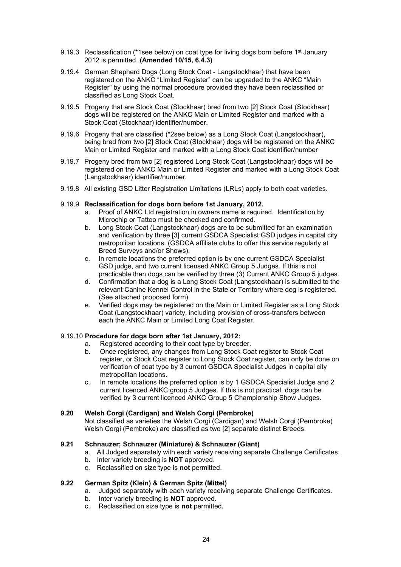- 9.19.3 Reclassification (\*1see below) on coat type for living dogs born before  $1<sup>st</sup>$  January 2012 is permitted. **(Amended 10/15, 6.4.3)**
- 9.19.4 German Shepherd Dogs (Long Stock Coat Langstockhaar) that have been registered on the ANKC "Limited Register" can be upgraded to the ANKC "Main Register" by using the normal procedure provided they have been reclassified or classified as Long Stock Coat.
- 9.19.5 Progeny that are Stock Coat (Stockhaar) bred from two [2] Stock Coat (Stockhaar) dogs will be registered on the ANKC Main or Limited Register and marked with a Stock Coat (Stockhaar) identifier/number.
- 9.19.6 Progeny that are classified (\*2see below) as a Long Stock Coat (Langstockhaar), being bred from two [2] Stock Coat (Stockhaar) dogs will be registered on the ANKC Main or Limited Register and marked with a Long Stock Coat identifier/number
- 9.19.7 Progeny bred from two [2] registered Long Stock Coat (Langstockhaar) dogs will be registered on the ANKC Main or Limited Register and marked with a Long Stock Coat (Langstockhaar) identifier/number.
- 9.19.8 All existing GSD Litter Registration Limitations (LRLs) apply to both coat varieties.

#### 9.19.9 **Reclassification for dogs born before 1st January, 2012.**

- a. Proof of ANKC Ltd registration in owners name is required. Identification by Microchip or Tattoo must be checked and confirmed.
- b. Long Stock Coat (Langstockhaar) dogs are to be submitted for an examination and verification by three [3] current GSDCA Specialist GSD judges in capital city metropolitan locations. (GSDCA affiliate clubs to offer this service regularly at Breed Surveys and/or Shows).
- c. In remote locations the preferred option is by one current GSDCA Specialist GSD judge, and two current licensed ANKC Group 5 Judges. If this is not practicable then dogs can be verified by three (3) Current ANKC Group 5 judges.
- d. Confirmation that a dog is a Long Stock Coat (Langstockhaar) is submitted to the relevant Canine Kennel Control in the State or Territory where dog is registered. (See attached proposed form).
- e. Verified dogs may be registered on the Main or Limited Register as a Long Stock Coat (Langstockhaar) variety, including provision of cross-transfers between each the ANKC Main or Limited Long Coat Register.

# 9.19.10 **Procedure for dogs born after 1st January, 2012:**

- a. Registered according to their coat type by breeder.
- b. Once registered, any changes from Long Stock Coat register to Stock Coat register, or Stock Coat register to Long Stock Coat register, can only be done on verification of coat type by 3 current GSDCA Specialist Judges in capital city metropolitan locations.
- c. In remote locations the preferred option is by 1 GSDCA Specialist Judge and 2 current licenced ANKC group 5 Judges. If this is not practical, dogs can be verified by 3 current licenced ANKC Group 5 Championship Show Judges.

# **9.20 Welsh Corgi (Cardigan) and Welsh Corgi (Pembroke)**

Not classified as varieties the Welsh Corgi (Cardigan) and Welsh Corgi (Pembroke) Welsh Corgi (Pembroke) are classified as two [2] separate distinct Breeds.

# **9.21 Schnauzer; Schnauzer (Miniature) & Schnauzer (Giant)**

- a. All Judged separately with each variety receiving separate Challenge Certificates.
- b. Inter variety breeding is **NOT** approved.
- c. Reclassified on size type is **not** permitted.

# **9.22 German Spitz (Klein) & German Spitz (Mittel)**

- a. Judged separately with each variety receiving separate Challenge Certificates.
- b. Inter variety breeding is **NOT** approved.
- c. Reclassified on size type is **not** permitted.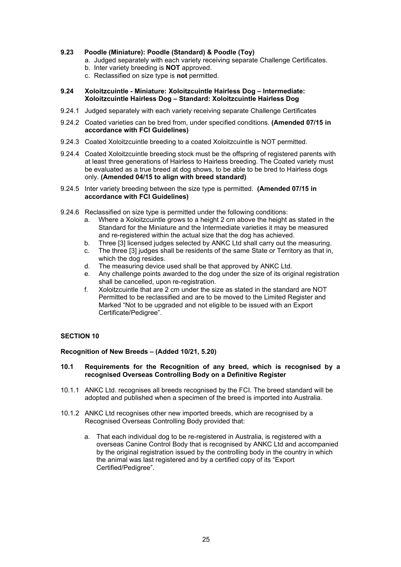# **9.23 Poodle (Miniature): Poodle (Standard) & Poodle (Toy)**

- a. Judged separately with each variety receiving separate Challenge Certificates.
- b. Inter variety breeding is **NOT** approved.
- c. Reclassified on size type is **not** permitted.

# **9.24 Xoloitzcuintle - Miniature: Xoloitzcuintle Hairless Dog – Intermediate: Xoloitzcuintle Hairless Dog – Standard: Xoloitzcuintle Hairless Dog**

- 9.24.1 Judged separately with each variety receiving separate Challenge Certificates
- 9.24.2 Coated varieties can be bred from, under specified conditions. **(Amended 07/15 in accordance with FCI Guidelines)**
- 9.24.3 Coated Xoloitzcuintle breeding to a coated Xoloitzcuintle is NOT permitted.
- 9.24.4 Coated Xoloitzcuintle breeding stock must be the offspring of registered parents with at least three generations of Hairless to Hairless breeding. The Coated variety must be evaluated as a true breed at dog shows, to be able to be bred to Hairless dogs only. **(Amended 04/15 to align with breed standard)**
- 9.24.5 Inter variety breeding between the size type is permitted. **(Amended 07/15 in accordance with FCI Guidelines)**
- 9.24.6 Reclassified on size type is permitted under the following conditions:
	- a. Where a Xoloitzcuintle grows to a height 2 cm above the height as stated in the Standard for the Miniature and the Intermediate varieties it may be measured and re-registered within the actual size that the dog has achieved.
	- b. Three [3] licensed judges selected by ANKC Ltd shall carry out the measuring.
	- c. The three [3] judges shall be residents of the same State or Territory as that in, which the dog resides.
	- d. The measuring device used shall be that approved by ANKC Ltd.
	- e. Any challenge points awarded to the dog under the size of its original registration shall be cancelled, upon re-registration.
	- f. Xoloitzcuintle that are 2 cm under the size as stated in the standard are NOT Permitted to be reclassified and are to be moved to the Limited Register and Marked "Not to be upgraded and not eligible to be issued with an Export Certificate/Pedigree".

# <span id="page-26-0"></span>**SECTION 10**

# <span id="page-26-1"></span>**Recognition of New Breeds – (Added 10/21, 5.20)**

#### **10.1 Requirements for the Recognition of any breed, which is recognised by a recognised Overseas Controlling Body on a Definitive Register**

- 10.1.1 ANKC Ltd. recognises all breeds recognised by the FCI. The breed standard will be adopted and published when a specimen of the breed is imported into Australia.
- 10.1.2 ANKC Ltd recognises other new imported breeds, which are recognised by a Recognised Overseas Controlling Body provided that:
	- a. That each individual dog to be re-registered in Australia, is registered with a overseas Canine Control Body that is recognised by ANKC Ltd and accompanied by the original registration issued by the controlling body in the country in which the animal was last registered and by a certified copy of its "Export Certified/Pedigree".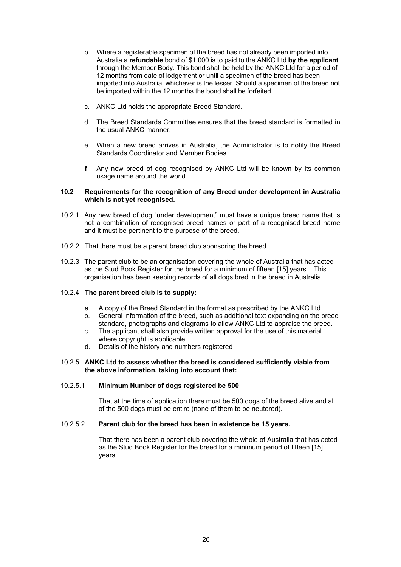- b. Where a registerable specimen of the breed has not already been imported into Australia a **refundable** bond of \$1,000 is to paid to the ANKC Ltd **by the applicant** through the Member Body. This bond shall be held by the ANKC Ltd for a period of 12 months from date of lodgement or until a specimen of the breed has been imported into Australia, whichever is the lesser. Should a specimen of the breed not be imported within the 12 months the bond shall be forfeited.
- c. ANKC Ltd holds the appropriate Breed Standard.
- d. The Breed Standards Committee ensures that the breed standard is formatted in the usual ANKC manner.
- e. When a new breed arrives in Australia, the Administrator is to notify the Breed Standards Coordinator and Member Bodies.
- **f** Any new breed of dog recognised by ANKC Ltd will be known by its common usage name around the world.

#### **10.2 Requirements for the recognition of any Breed under development in Australia which is not yet recognised.**

- 10.2.1 Any new breed of dog "under development" must have a unique breed name that is not a combination of recognised breed names or part of a recognised breed name and it must be pertinent to the purpose of the breed.
- 10.2.2 That there must be a parent breed club sponsoring the breed.
- 10.2.3 The parent club to be an organisation covering the whole of Australia that has acted as the Stud Book Register for the breed for a minimum of fifteen [15] years. This organisation has been keeping records of all dogs bred in the breed in Australia

#### 10.2.4 **The parent breed club is to supply:**

- a. A copy of the Breed Standard in the format as prescribed by the ANKC Ltd
- b. General information of the breed, such as additional text expanding on the breed standard, photographs and diagrams to allow ANKC Ltd to appraise the breed.
- c. The applicant shall also provide written approval for the use of this material where copyright is applicable.
- d. Details of the history and numbers registered

#### 10.2.5 **ANKC Ltd to assess whether the breed is considered sufficiently viable from the above information, taking into account that:**

#### 10.2.5.1 **Minimum Number of dogs registered be 500**

That at the time of application there must be 500 dogs of the breed alive and all of the 500 dogs must be entire (none of them to be neutered).

# 10.2.5.2 **Parent club for the breed has been in existence be 15 years.**

That there has been a parent club covering the whole of Australia that has acted as the Stud Book Register for the breed for a minimum period of fifteen [15] years.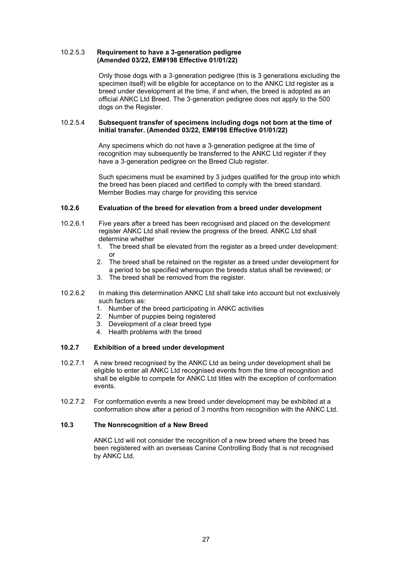#### 10.2.5.3 **Requirement to have a 3-generation pedigree (Amended 03/22, EM#198 Effective 01/01/22)**

Only those dogs with a 3‐generation pedigree (this is 3 generations excluding the specimen itself) will be eligible for acceptance on to the ANKC Ltd register as a breed under development at the time, if and when, the breed is adopted as an official ANKC Ltd Breed. The 3‐generation pedigree does not apply to the 500 dogs on the Register.

#### 10.2.5.4 **Subsequent transfer of specimens including dogs not born at the time of initial transfer. (Amended 03/22, EM#198 Effective 01/01/22)**

Any specimens which do not have a 3-generation pedigree at the time of recognition may subsequently be transferred to the ANKC Ltd register if they have a 3-generation pedigree on the Breed Club register.

Such specimens must be examined by 3 judges qualified for the group into which the breed has been placed and certified to comply with the breed standard. Member Bodies may charge for providing this service

# **10.2.6 Evaluation of the breed for elevation from a breed under development**

- 10.2.6.1 Five years after a breed has been recognised and placed on the development register ANKC Ltd shall review the progress of the breed. ANKC Ltd shall determine whether
	- 1. The breed shall be elevated from the register as a breed under development: or
	- 2. The breed shall be retained on the register as a breed under development for a period to be specified whereupon the breeds status shall be reviewed; or
	- 3. The breed shall be removed from the register.
- 10.2.6.2 In making this determination ANKC Ltd shall take into account but not exclusively such factors as:
	- 1. Number of the breed participating in ANKC activities
	- 2. Number of puppies being registered
	- 3. Development of a clear breed type
	- 4. Health problems with the breed

#### **10.2.7 Exhibition of a breed under development**

- 10.2.7.1 A new breed recognised by the ANKC Ltd as being under development shall be eligible to enter all ANKC Ltd recognised events from the time of recognition and shall be eligible to compete for ANKC Ltd titles with the exception of conformation events.
- 10.2.7.2 For conformation events a new breed under development may be exhibited at a conformation show after a period of 3 months from recognition with the ANKC Ltd.

#### **10.3 The Nonrecognition of a New Breed**

ANKC Ltd will not consider the recognition of a new breed where the breed has been registered with an overseas Canine Controlling Body that is not recognised by ANKC Ltd.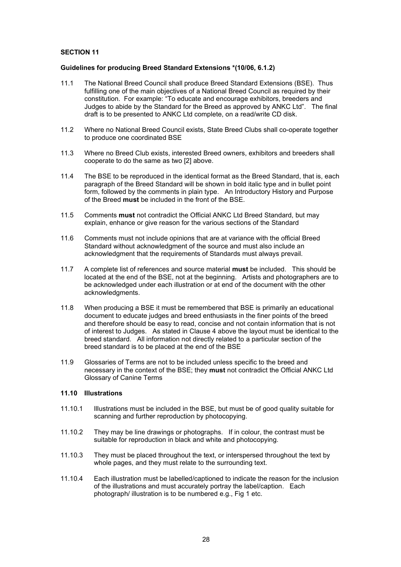# <span id="page-29-0"></span>**SECTION 11**

#### <span id="page-29-1"></span>**Guidelines for producing Breed Standard Extensions \*(10/06, 6.1.2)**

- 11.1 The National Breed Council shall produce Breed Standard Extensions (BSE). Thus fulfilling one of the main objectives of a National Breed Council as required by their constitution. For example: "To educate and encourage exhibitors, breeders and Judges to abide by the Standard for the Breed as approved by ANKC Ltd". The final draft is to be presented to ANKC Ltd complete, on a read/write CD disk.
- 11.2 Where no National Breed Council exists, State Breed Clubs shall co-operate together to produce one coordinated BSE
- 11.3 Where no Breed Club exists, interested Breed owners, exhibitors and breeders shall cooperate to do the same as two [2] above.
- 11.4 The BSE to be reproduced in the identical format as the Breed Standard, that is, each paragraph of the Breed Standard will be shown in bold italic type and in bullet point form, followed by the comments in plain type. An Introductory History and Purpose of the Breed **must** be included in the front of the BSE.
- 11.5 Comments **must** not contradict the Official ANKC Ltd Breed Standard, but may explain, enhance or give reason for the various sections of the Standard
- 11.6 Comments must not include opinions that are at variance with the official Breed Standard without acknowledgment of the source and must also include an acknowledgment that the requirements of Standards must always prevail.
- 11.7 A complete list of references and source material **must** be included. This should be located at the end of the BSE, not at the beginning. Artists and photographers are to be acknowledged under each illustration or at end of the document with the other acknowledgments.
- 11.8 When producing a BSE it must be remembered that BSE is primarily an educational document to educate judges and breed enthusiasts in the finer points of the breed and therefore should be easy to read, concise and not contain information that is not of interest to Judges. As stated in Clause 4 above the layout must be identical to the breed standard. All information not directly related to a particular section of the breed standard is to be placed at the end of the BSE
- 11.9 Glossaries of Terms are not to be included unless specific to the breed and necessary in the context of the BSE; they **must** not contradict the Official ANKC Ltd Glossary of Canine Terms

#### **11.10 Illustrations**

- 11.10.1 Illustrations must be included in the BSE, but must be of good quality suitable for scanning and further reproduction by photocopying.
- 11.10.2 They may be line drawings or photographs. If in colour, the contrast must be suitable for reproduction in black and white and photocopying.
- 11.10.3 They must be placed throughout the text, or interspersed throughout the text by whole pages, and they must relate to the surrounding text.
- 11.10.4 Each illustration must be labelled/captioned to indicate the reason for the inclusion of the illustrations and must accurately portray the label/caption. Each photograph/ illustration is to be numbered e.g., Fig 1 etc.